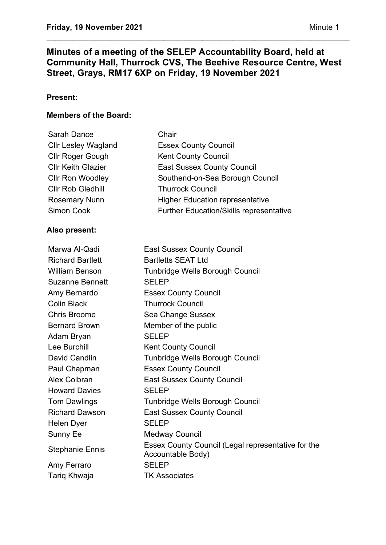# **Minutes of a meeting of the SELEP Accountability Board, held at Community Hall, Thurrock CVS, The Beehive Resource Centre, West Street, Grays, RM17 6XP on Friday, 19 November 2021**

\_\_\_\_\_\_\_\_\_\_\_\_\_\_\_\_\_\_\_\_\_\_\_\_\_\_\_\_\_\_\_\_\_\_\_\_\_\_\_\_\_\_\_\_\_\_\_\_\_\_\_\_\_\_\_\_\_\_\_\_\_\_\_\_\_\_\_\_\_\_

# **Present**:

### **Members of the Board:**

| Chair                                          |
|------------------------------------------------|
| <b>Essex County Council</b>                    |
| <b>Kent County Council</b>                     |
| <b>East Sussex County Council</b>              |
| Southend-on-Sea Borough Council                |
| <b>Thurrock Council</b>                        |
| <b>Higher Education representative</b>         |
| <b>Further Education/Skills representative</b> |
|                                                |

## **Also present:**

| <b>East Sussex County Council</b>                                       |
|-------------------------------------------------------------------------|
| <b>Bartletts SEAT Ltd</b>                                               |
| Tunbridge Wells Borough Council                                         |
| <b>SELEP</b>                                                            |
| <b>Essex County Council</b>                                             |
| <b>Thurrock Council</b>                                                 |
| Sea Change Sussex                                                       |
| Member of the public                                                    |
| <b>SELEP</b>                                                            |
| <b>Kent County Council</b>                                              |
| Tunbridge Wells Borough Council                                         |
| <b>Essex County Council</b>                                             |
| <b>East Sussex County Council</b>                                       |
| <b>SELEP</b>                                                            |
| Tunbridge Wells Borough Council                                         |
| <b>East Sussex County Council</b>                                       |
| <b>SELEP</b>                                                            |
| <b>Medway Council</b>                                                   |
| Essex County Council (Legal representative for the<br>Accountable Body) |
| <b>SELEP</b>                                                            |
| <b>TK Associates</b>                                                    |
|                                                                         |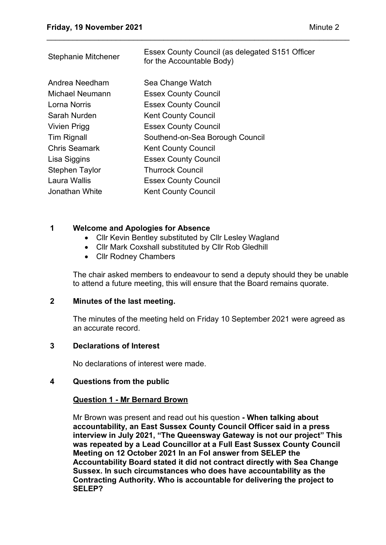| <b>Stephanie Mitchener</b> | Essex County Council (as delegated S151 Officer<br>for the Accountable Body) |
|----------------------------|------------------------------------------------------------------------------|
| Andrea Needham             | Sea Change Watch                                                             |
| Michael Neumann            | <b>Essex County Council</b>                                                  |
| Lorna Norris               | <b>Essex County Council</b>                                                  |
| Sarah Nurden               | <b>Kent County Council</b>                                                   |
| <b>Vivien Prigg</b>        | <b>Essex County Council</b>                                                  |
| <b>Tim Rignall</b>         | Southend-on-Sea Borough Council                                              |
| <b>Chris Seamark</b>       | <b>Kent County Council</b>                                                   |
| Lisa Siggins               | <b>Essex County Council</b>                                                  |
| <b>Stephen Taylor</b>      | <b>Thurrock Council</b>                                                      |
| Laura Wallis               | <b>Essex County Council</b>                                                  |
| Jonathan White             | <b>Kent County Council</b>                                                   |
|                            |                                                                              |

\_\_\_\_\_\_\_\_\_\_\_\_\_\_\_\_\_\_\_\_\_\_\_\_\_\_\_\_\_\_\_\_\_\_\_\_\_\_\_\_\_\_\_\_\_\_\_\_\_\_\_\_\_\_\_\_\_\_\_\_\_\_\_\_\_\_\_\_\_\_

### **1 Welcome and Apologies for Absence**

- Cllr Kevin Bentley substituted by Cllr Lesley Wagland
- Cllr Mark Coxshall substituted by Cllr Rob Gledhill
- Cllr Rodney Chambers

The chair asked members to endeavour to send a deputy should they be unable to attend a future meeting, this will ensure that the Board remains quorate.

### **2 Minutes of the last meeting.**

The minutes of the meeting held on Friday 10 September 2021 were agreed as an accurate record.

### **3 Declarations of Interest**

No declarations of interest were made.

### **4 Questions from the public**

### **Question 1 - Mr Bernard Brown**

Mr Brown was present and read out his question **- When talking about accountability, an East Sussex County Council Officer said in a press interview in July 2021, "The Queensway Gateway is not our project" This was repeated by a Lead Councillor at a Full East Sussex County Council Meeting on 12 October 2021 In an FoI answer from SELEP the Accountability Board stated it did not contract directly with Sea Change Sussex. In such circumstances who does have accountability as the Contracting Authority. Who is accountable for delivering the project to SELEP?**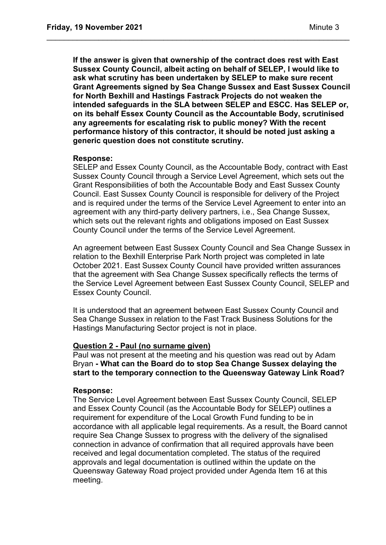**If the answer is given that ownership of the contract does rest with East Sussex County Council, albeit acting on behalf of SELEP, I would like to ask what scrutiny has been undertaken by SELEP to make sure recent Grant Agreements signed by Sea Change Sussex and East Sussex Council for North Bexhill and Hastings Fastrack Projects do not weaken the intended safeguards in the SLA between SELEP and ESCC. Has SELEP or, on its behalf Essex County Council as the Accountable Body, scrutinised any agreements for escalating risk to public money? With the recent performance history of this contractor, it should be noted just asking a generic question does not constitute scrutiny.**

\_\_\_\_\_\_\_\_\_\_\_\_\_\_\_\_\_\_\_\_\_\_\_\_\_\_\_\_\_\_\_\_\_\_\_\_\_\_\_\_\_\_\_\_\_\_\_\_\_\_\_\_\_\_\_\_\_\_\_\_\_\_\_\_\_\_\_\_\_\_

#### **Response:**

SELEP and Essex County Council, as the Accountable Body, contract with East Sussex County Council through a Service Level Agreement, which sets out the Grant Responsibilities of both the Accountable Body and East Sussex County Council. East Sussex County Council is responsible for delivery of the Project and is required under the terms of the Service Level Agreement to enter into an agreement with any third-party delivery partners, i.e., Sea Change Sussex, which sets out the relevant rights and obligations imposed on East Sussex County Council under the terms of the Service Level Agreement.

An agreement between East Sussex County Council and Sea Change Sussex in relation to the Bexhill Enterprise Park North project was completed in late October 2021. East Sussex County Council have provided written assurances that the agreement with Sea Change Sussex specifically reflects the terms of the Service Level Agreement between East Sussex County Council, SELEP and Essex County Council.

It is understood that an agreement between East Sussex County Council and Sea Change Sussex in relation to the Fast Track Business Solutions for the Hastings Manufacturing Sector project is not in place.

#### **Question 2 - Paul (no surname given)**

Paul was not present at the meeting and his question was read out by Adam Bryan **- What can the Board do to stop Sea Change Sussex delaying the start to the temporary connection to the Queensway Gateway Link Road?**

#### **Response:**

The Service Level Agreement between East Sussex County Council, SELEP and Essex County Council (as the Accountable Body for SELEP) outlines a requirement for expenditure of the Local Growth Fund funding to be in accordance with all applicable legal requirements. As a result, the Board cannot require Sea Change Sussex to progress with the delivery of the signalised connection in advance of confirmation that all required approvals have been received and legal documentation completed. The status of the required approvals and legal documentation is outlined within the update on the Queensway Gateway Road project provided under Agenda Item 16 at this meeting.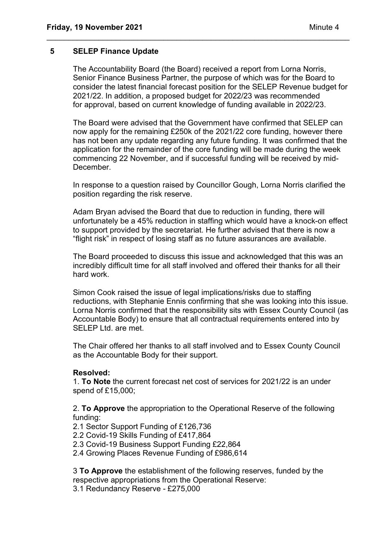#### **5 SELEP Finance Update**

The Accountability Board (the Board) received a report from Lorna Norris, Senior Finance Business Partner, the purpose of which was for the Board to consider the latest financial forecast position for the SELEP Revenue budget for 2021/22. In addition, a proposed budget for 2022/23 was recommended for approval, based on current knowledge of funding available in 2022/23.

\_\_\_\_\_\_\_\_\_\_\_\_\_\_\_\_\_\_\_\_\_\_\_\_\_\_\_\_\_\_\_\_\_\_\_\_\_\_\_\_\_\_\_\_\_\_\_\_\_\_\_\_\_\_\_\_\_\_\_\_\_\_\_\_\_\_\_\_\_\_

The Board were advised that the Government have confirmed that SELEP can now apply for the remaining £250k of the 2021/22 core funding, however there has not been any update regarding any future funding. It was confirmed that the application for the remainder of the core funding will be made during the week commencing 22 November, and if successful funding will be received by mid-December.

In response to a question raised by Councillor Gough, Lorna Norris clarified the position regarding the risk reserve.

Adam Bryan advised the Board that due to reduction in funding, there will unfortunately be a 45% reduction in staffing which would have a knock-on effect to support provided by the secretariat. He further advised that there is now a "flight risk" in respect of losing staff as no future assurances are available.

The Board proceeded to discuss this issue and acknowledged that this was an incredibly difficult time for all staff involved and offered their thanks for all their hard work.

Simon Cook raised the issue of legal implications/risks due to staffing reductions, with Stephanie Ennis confirming that she was looking into this issue. Lorna Norris confirmed that the responsibility sits with Essex County Council (as Accountable Body) to ensure that all contractual requirements entered into by SELEP Ltd. are met.

The Chair offered her thanks to all staff involved and to Essex County Council as the Accountable Body for their support.

#### **Resolved:**

1. **To Note** the current forecast net cost of services for 2021/22 is an under spend of £15,000;

2. **To Approve** the appropriation to the Operational Reserve of the following funding:

- 2.1 Sector Support Funding of £126,736
- 2.2 Covid-19 Skills Funding of £417,864
- 2.3 Covid-19 Business Support Funding £22,864
- 2.4 Growing Places Revenue Funding of £986,614

3 **To Approve** the establishment of the following reserves, funded by the respective appropriations from the Operational Reserve: 3.1 Redundancy Reserve - £275,000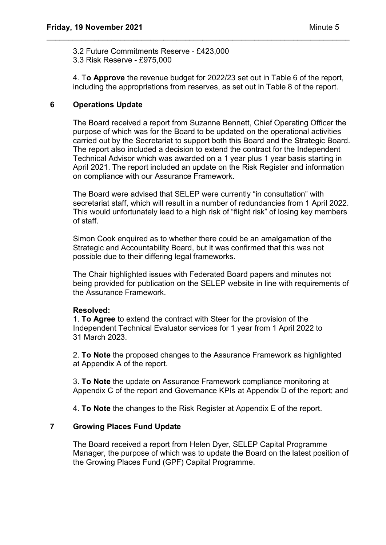3.2 Future Commitments Reserve - £423,000 3.3 Risk Reserve - £975,000

4. T**o Approve** the revenue budget for 2022/23 set out in Table 6 of the report, including the appropriations from reserves, as set out in Table 8 of the report.

\_\_\_\_\_\_\_\_\_\_\_\_\_\_\_\_\_\_\_\_\_\_\_\_\_\_\_\_\_\_\_\_\_\_\_\_\_\_\_\_\_\_\_\_\_\_\_\_\_\_\_\_\_\_\_\_\_\_\_\_\_\_\_\_\_\_\_\_\_\_

# **6 Operations Update**

The Board received a report from Suzanne Bennett, Chief Operating Officer the purpose of which was for the Board to be updated on the operational activities carried out by the Secretariat to support both this Board and the Strategic Board. The report also included a decision to extend the contract for the Independent Technical Advisor which was awarded on a 1 year plus 1 year basis starting in April 2021. The report included an update on the Risk Register and information on compliance with our Assurance Framework.

The Board were advised that SELEP were currently "in consultation" with secretariat staff, which will result in a number of redundancies from 1 April 2022. This would unfortunately lead to a high risk of "flight risk" of losing key members of staff.

Simon Cook enquired as to whether there could be an amalgamation of the Strategic and Accountability Board, but it was confirmed that this was not possible due to their differing legal frameworks.

The Chair highlighted issues with Federated Board papers and minutes not being provided for publication on the SELEP website in line with requirements of the Assurance Framework.

### **Resolved:**

1. **To Agree** to extend the contract with Steer for the provision of the Independent Technical Evaluator services for 1 year from 1 April 2022 to 31 March 2023.

2. **To Note** the proposed changes to the Assurance Framework as highlighted at Appendix A of the report.

3. **To Note** the update on Assurance Framework compliance monitoring at Appendix C of the report and Governance KPIs at Appendix D of the report; and

4. **To Note** the changes to the Risk Register at Appendix E of the report.

### **7 Growing Places Fund Update**

The Board received a report from Helen Dyer, SELEP Capital Programme Manager, the purpose of which was to update the Board on the latest position of the Growing Places Fund (GPF) Capital Programme.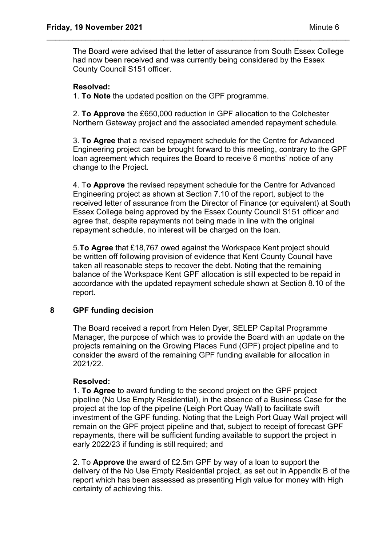The Board were advised that the letter of assurance from South Essex College had now been received and was currently being considered by the Essex County Council S151 officer.

\_\_\_\_\_\_\_\_\_\_\_\_\_\_\_\_\_\_\_\_\_\_\_\_\_\_\_\_\_\_\_\_\_\_\_\_\_\_\_\_\_\_\_\_\_\_\_\_\_\_\_\_\_\_\_\_\_\_\_\_\_\_\_\_\_\_\_\_\_\_

## **Resolved:**

1. **To Note** the updated position on the GPF programme.

2. **To Approve** the £650,000 reduction in GPF allocation to the Colchester Northern Gateway project and the associated amended repayment schedule.

3. **To Agree** that a revised repayment schedule for the Centre for Advanced Engineering project can be brought forward to this meeting, contrary to the GPF loan agreement which requires the Board to receive 6 months' notice of any change to the Project.

4. T**o Approve** the revised repayment schedule for the Centre for Advanced Engineering project as shown at Section 7.10 of the report, subject to the received letter of assurance from the Director of Finance (or equivalent) at South Essex College being approved by the Essex County Council S151 officer and agree that, despite repayments not being made in line with the original repayment schedule, no interest will be charged on the loan.

5.**To Agree** that £18,767 owed against the Workspace Kent project should be written off following provision of evidence that Kent County Council have taken all reasonable steps to recover the debt. Noting that the remaining balance of the Workspace Kent GPF allocation is still expected to be repaid in accordance with the updated repayment schedule shown at Section 8.10 of the report.

### **8 GPF funding decision**

The Board received a report from Helen Dyer, SELEP Capital Programme Manager, the purpose of which was to provide the Board with an update on the projects remaining on the Growing Places Fund (GPF) project pipeline and to consider the award of the remaining GPF funding available for allocation in 2021/22.

### **Resolved:**

1. **To Agree** to award funding to the second project on the GPF project pipeline (No Use Empty Residential), in the absence of a Business Case for the project at the top of the pipeline (Leigh Port Quay Wall) to facilitate swift investment of the GPF funding. Noting that the Leigh Port Quay Wall project will remain on the GPF project pipeline and that, subject to receipt of forecast GPF repayments, there will be sufficient funding available to support the project in early 2022/23 if funding is still required; and

2. To **Approve** the award of £2.5m GPF by way of a loan to support the delivery of the No Use Empty Residential project, as set out in Appendix B of the report which has been assessed as presenting High value for money with High certainty of achieving this.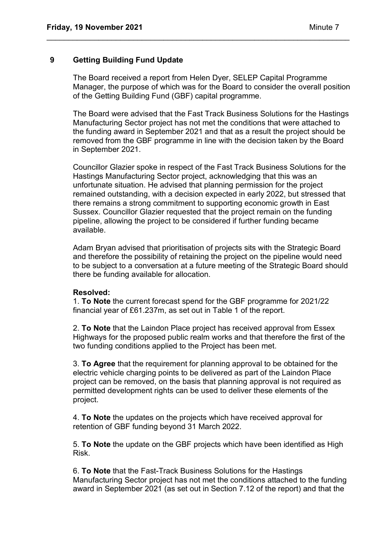### **9 Getting Building Fund Update**

The Board received a report from Helen Dyer, SELEP Capital Programme Manager, the purpose of which was for the Board to consider the overall position of the Getting Building Fund (GBF) capital programme.

\_\_\_\_\_\_\_\_\_\_\_\_\_\_\_\_\_\_\_\_\_\_\_\_\_\_\_\_\_\_\_\_\_\_\_\_\_\_\_\_\_\_\_\_\_\_\_\_\_\_\_\_\_\_\_\_\_\_\_\_\_\_\_\_\_\_\_\_\_\_

The Board were advised that the Fast Track Business Solutions for the Hastings Manufacturing Sector project has not met the conditions that were attached to the funding award in September 2021 and that as a result the project should be removed from the GBF programme in line with the decision taken by the Board in September 2021.

Councillor Glazier spoke in respect of the Fast Track Business Solutions for the Hastings Manufacturing Sector project, acknowledging that this was an unfortunate situation. He advised that planning permission for the project remained outstanding, with a decision expected in early 2022, but stressed that there remains a strong commitment to supporting economic growth in East Sussex. Councillor Glazier requested that the project remain on the funding pipeline, allowing the project to be considered if further funding became available.

Adam Bryan advised that prioritisation of projects sits with the Strategic Board and therefore the possibility of retaining the project on the pipeline would need to be subject to a conversation at a future meeting of the Strategic Board should there be funding available for allocation.

#### **Resolved:**

1. **To Note** the current forecast spend for the GBF programme for 2021/22 financial year of £61.237m, as set out in Table 1 of the report.

2. **To Note** that the Laindon Place project has received approval from Essex Highways for the proposed public realm works and that therefore the first of the two funding conditions applied to the Project has been met.

3. **To Agree** that the requirement for planning approval to be obtained for the electric vehicle charging points to be delivered as part of the Laindon Place project can be removed, on the basis that planning approval is not required as permitted development rights can be used to deliver these elements of the project.

4. **To Note** the updates on the projects which have received approval for retention of GBF funding beyond 31 March 2022.

5. **To Note** the update on the GBF projects which have been identified as High Risk.

6. **To Note** that the Fast-Track Business Solutions for the Hastings Manufacturing Sector project has not met the conditions attached to the funding award in September 2021 (as set out in Section 7.12 of the report) and that the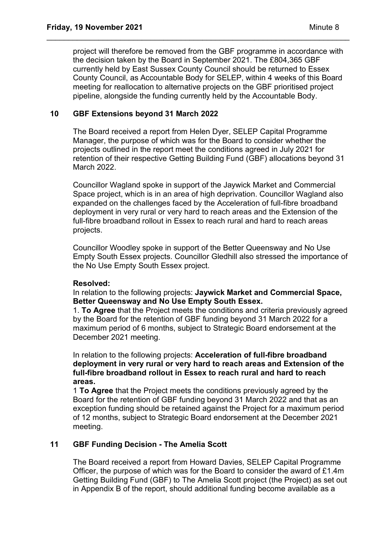project will therefore be removed from the GBF programme in accordance with the decision taken by the Board in September 2021. The £804,365 GBF currently held by East Sussex County Council should be returned to Essex County Council, as Accountable Body for SELEP, within 4 weeks of this Board meeting for reallocation to alternative projects on the GBF prioritised project pipeline, alongside the funding currently held by the Accountable Body.

\_\_\_\_\_\_\_\_\_\_\_\_\_\_\_\_\_\_\_\_\_\_\_\_\_\_\_\_\_\_\_\_\_\_\_\_\_\_\_\_\_\_\_\_\_\_\_\_\_\_\_\_\_\_\_\_\_\_\_\_\_\_\_\_\_\_\_\_\_\_

### **10 GBF Extensions beyond 31 March 2022**

The Board received a report from Helen Dyer, SELEP Capital Programme Manager, the purpose of which was for the Board to consider whether the projects outlined in the report meet the conditions agreed in July 2021 for retention of their respective Getting Building Fund (GBF) allocations beyond 31 March 2022.

Councillor Wagland spoke in support of the Jaywick Market and Commercial Space project, which is in an area of high deprivation. Councillor Wagland also expanded on the challenges faced by the Acceleration of full-fibre broadband deployment in very rural or very hard to reach areas and the Extension of the full-fibre broadband rollout in Essex to reach rural and hard to reach areas projects.

Councillor Woodley spoke in support of the Better Queensway and No Use Empty South Essex projects. Councillor Gledhill also stressed the importance of the No Use Empty South Essex project.

### **Resolved:**

In relation to the following projects: **Jaywick Market and Commercial Space, Better Queensway and No Use Empty South Essex.**

1. **To Agree** that the Project meets the conditions and criteria previously agreed by the Board for the retention of GBF funding beyond 31 March 2022 for a maximum period of 6 months, subject to Strategic Board endorsement at the December 2021 meeting.

In relation to the following projects: **Acceleration of full-fibre broadband deployment in very rural or very hard to reach areas and Extension of the full-fibre broadband rollout in Essex to reach rural and hard to reach areas.**

1 **To Agree** that the Project meets the conditions previously agreed by the Board for the retention of GBF funding beyond 31 March 2022 and that as an exception funding should be retained against the Project for a maximum period of 12 months, subject to Strategic Board endorsement at the December 2021 meeting.

### **11 GBF Funding Decision - The Amelia Scott**

The Board received a report from Howard Davies, SELEP Capital Programme Officer, the purpose of which was for the Board to consider the award of £1.4m Getting Building Fund (GBF) to The Amelia Scott project (the Project) as set out in Appendix B of the report, should additional funding become available as a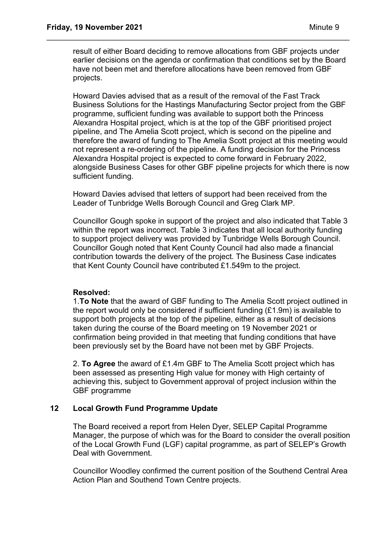result of either Board deciding to remove allocations from GBF projects under earlier decisions on the agenda or confirmation that conditions set by the Board have not been met and therefore allocations have been removed from GBF projects.

\_\_\_\_\_\_\_\_\_\_\_\_\_\_\_\_\_\_\_\_\_\_\_\_\_\_\_\_\_\_\_\_\_\_\_\_\_\_\_\_\_\_\_\_\_\_\_\_\_\_\_\_\_\_\_\_\_\_\_\_\_\_\_\_\_\_\_\_\_\_

Howard Davies advised that as a result of the removal of the Fast Track Business Solutions for the Hastings Manufacturing Sector project from the GBF programme, sufficient funding was available to support both the Princess Alexandra Hospital project, which is at the top of the GBF prioritised project pipeline, and The Amelia Scott project, which is second on the pipeline and therefore the award of funding to The Amelia Scott project at this meeting would not represent a re-ordering of the pipeline. A funding decision for the Princess Alexandra Hospital project is expected to come forward in February 2022, alongside Business Cases for other GBF pipeline projects for which there is now sufficient funding.

Howard Davies advised that letters of support had been received from the Leader of Tunbridge Wells Borough Council and Greg Clark MP.

Councillor Gough spoke in support of the project and also indicated that Table 3 within the report was incorrect. Table 3 indicates that all local authority funding to support project delivery was provided by Tunbridge Wells Borough Council. Councillor Gough noted that Kent County Council had also made a financial contribution towards the delivery of the project. The Business Case indicates that Kent County Council have contributed £1.549m to the project.

#### **Resolved:**

1.**To Note** that the award of GBF funding to The Amelia Scott project outlined in the report would only be considered if sufficient funding (£1.9m) is available to support both projects at the top of the pipeline, either as a result of decisions taken during the course of the Board meeting on 19 November 2021 or confirmation being provided in that meeting that funding conditions that have been previously set by the Board have not been met by GBF Projects.

2. **To Agree** the award of £1.4m GBF to The Amelia Scott project which has been assessed as presenting High value for money with High certainty of achieving this, subject to Government approval of project inclusion within the GBF programme

### **12 Local Growth Fund Programme Update**

The Board received a report from Helen Dyer, SELEP Capital Programme Manager, the purpose of which was for the Board to consider the overall position of the Local Growth Fund (LGF) capital programme, as part of SELEP's Growth Deal with Government.

Councillor Woodley confirmed the current position of the Southend Central Area Action Plan and Southend Town Centre projects.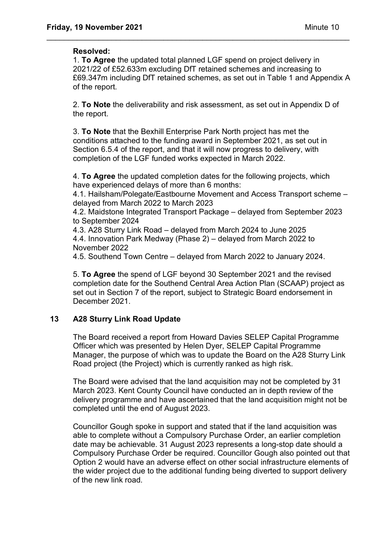### **Resolved:**

1. **To Agree** the updated total planned LGF spend on project delivery in 2021/22 of £52.633m excluding DfT retained schemes and increasing to £69.347m including DfT retained schemes, as set out in Table 1 and Appendix A of the report.

\_\_\_\_\_\_\_\_\_\_\_\_\_\_\_\_\_\_\_\_\_\_\_\_\_\_\_\_\_\_\_\_\_\_\_\_\_\_\_\_\_\_\_\_\_\_\_\_\_\_\_\_\_\_\_\_\_\_\_\_\_\_\_\_\_\_\_\_\_\_

2. **To Note** the deliverability and risk assessment, as set out in Appendix D of the report.

3. **To Note** that the Bexhill Enterprise Park North project has met the conditions attached to the funding award in September 2021, as set out in Section 6.5.4 of the report, and that it will now progress to delivery, with completion of the LGF funded works expected in March 2022.

4. **To Agree** the updated completion dates for the following projects, which have experienced delays of more than 6 months:

4.1. Hailsham/Polegate/Eastbourne Movement and Access Transport scheme – delayed from March 2022 to March 2023

4.2. Maidstone Integrated Transport Package – delayed from September 2023 to September 2024

4.3. A28 Sturry Link Road – delayed from March 2024 to June 2025 4.4. Innovation Park Medway (Phase 2) – delayed from March 2022 to November 2022

4.5. Southend Town Centre – delayed from March 2022 to January 2024.

5. **To Agree** the spend of LGF beyond 30 September 2021 and the revised completion date for the Southend Central Area Action Plan (SCAAP) project as set out in Section 7 of the report, subject to Strategic Board endorsement in December 2021.

### **13 A28 Sturry Link Road Update**

The Board received a report from Howard Davies SELEP Capital Programme Officer which was presented by Helen Dyer, SELEP Capital Programme Manager, the purpose of which was to update the Board on the A28 Sturry Link Road project (the Project) which is currently ranked as high risk.

The Board were advised that the land acquisition may not be completed by 31 March 2023. Kent County Council have conducted an in depth review of the delivery programme and have ascertained that the land acquisition might not be completed until the end of August 2023.

Councillor Gough spoke in support and stated that if the land acquisition was able to complete without a Compulsory Purchase Order, an earlier completion date may be achievable. 31 August 2023 represents a long-stop date should a Compulsory Purchase Order be required. Councillor Gough also pointed out that Option 2 would have an adverse effect on other social infrastructure elements of the wider project due to the additional funding being diverted to support delivery of the new link road.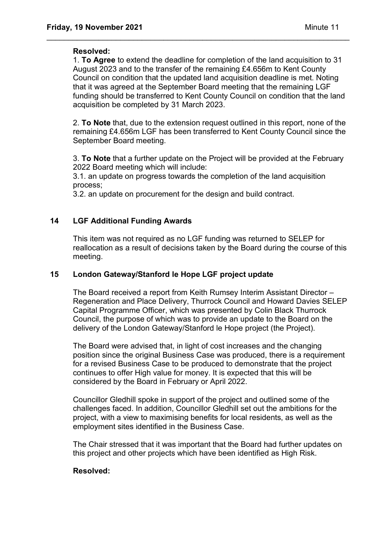### **Resolved:**

1. **To Agree** to extend the deadline for completion of the land acquisition to 31 August 2023 and to the transfer of the remaining £4.656m to Kent County Council on condition that the updated land acquisition deadline is met. Noting that it was agreed at the September Board meeting that the remaining LGF funding should be transferred to Kent County Council on condition that the land acquisition be completed by 31 March 2023.

\_\_\_\_\_\_\_\_\_\_\_\_\_\_\_\_\_\_\_\_\_\_\_\_\_\_\_\_\_\_\_\_\_\_\_\_\_\_\_\_\_\_\_\_\_\_\_\_\_\_\_\_\_\_\_\_\_\_\_\_\_\_\_\_\_\_\_\_\_\_

2. **To Note** that, due to the extension request outlined in this report, none of the remaining £4.656m LGF has been transferred to Kent County Council since the September Board meeting.

3. **To Note** that a further update on the Project will be provided at the February 2022 Board meeting which will include:

3.1. an update on progress towards the completion of the land acquisition process;

3.2. an update on procurement for the design and build contract.

## **14 LGF Additional Funding Awards**

This item was not required as no LGF funding was returned to SELEP for reallocation as a result of decisions taken by the Board during the course of this meeting.

### **15 London Gateway/Stanford le Hope LGF project update**

The Board received a report from Keith Rumsey Interim Assistant Director – Regeneration and Place Delivery, Thurrock Council and Howard Davies SELEP Capital Programme Officer, which was presented by Colin Black Thurrock Council, the purpose of which was to provide an update to the Board on the delivery of the London Gateway/Stanford le Hope project (the Project).

The Board were advised that, in light of cost increases and the changing position since the original Business Case was produced, there is a requirement for a revised Business Case to be produced to demonstrate that the project continues to offer High value for money. It is expected that this will be considered by the Board in February or April 2022.

Councillor Gledhill spoke in support of the project and outlined some of the challenges faced. In addition, Councillor Gledhill set out the ambitions for the project, with a view to maximising benefits for local residents, as well as the employment sites identified in the Business Case.

The Chair stressed that it was important that the Board had further updates on this project and other projects which have been identified as High Risk.

# **Resolved:**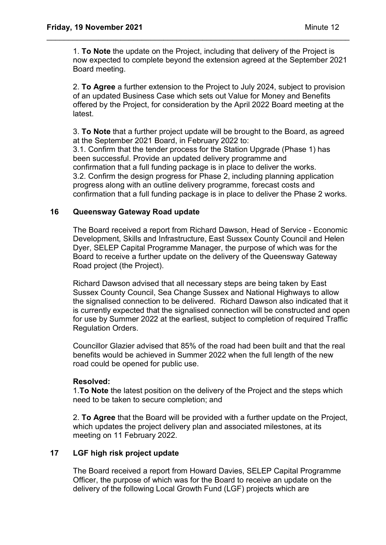1. **To Note** the update on the Project, including that delivery of the Project is now expected to complete beyond the extension agreed at the September 2021 Board meeting.

\_\_\_\_\_\_\_\_\_\_\_\_\_\_\_\_\_\_\_\_\_\_\_\_\_\_\_\_\_\_\_\_\_\_\_\_\_\_\_\_\_\_\_\_\_\_\_\_\_\_\_\_\_\_\_\_\_\_\_\_\_\_\_\_\_\_\_\_\_\_

2. **To Agree** a further extension to the Project to July 2024, subject to provision of an updated Business Case which sets out Value for Money and Benefits offered by the Project, for consideration by the April 2022 Board meeting at the latest.

3. **To Note** that a further project update will be brought to the Board, as agreed at the September 2021 Board, in February 2022 to:

3.1. Confirm that the tender process for the Station Upgrade (Phase 1) has been successful. Provide an updated delivery programme and confirmation that a full funding package is in place to deliver the works. 3.2. Confirm the design progress for Phase 2, including planning application progress along with an outline delivery programme, forecast costs and confirmation that a full funding package is in place to deliver the Phase 2 works.

## **16 Queensway Gateway Road update**

The Board received a report from Richard Dawson, Head of Service - Economic Development, Skills and Infrastructure, East Sussex County Council and Helen Dyer, SELEP Capital Programme Manager, the purpose of which was for the Board to receive a further update on the delivery of the Queensway Gateway Road project (the Project).

Richard Dawson advised that all necessary steps are being taken by East Sussex County Council, Sea Change Sussex and National Highways to allow the signalised connection to be delivered. Richard Dawson also indicated that it is currently expected that the signalised connection will be constructed and open for use by Summer 2022 at the earliest, subject to completion of required Traffic Regulation Orders.

Councillor Glazier advised that 85% of the road had been built and that the real benefits would be achieved in Summer 2022 when the full length of the new road could be opened for public use.

### **Resolved:**

1.**To Note** the latest position on the delivery of the Project and the steps which need to be taken to secure completion; and

2. **To Agree** that the Board will be provided with a further update on the Project, which updates the project delivery plan and associated milestones, at its meeting on 11 February 2022.

# **17 LGF high risk project update**

The Board received a report from Howard Davies, SELEP Capital Programme Officer, the purpose of which was for the Board to receive an update on the delivery of the following Local Growth Fund (LGF) projects which are